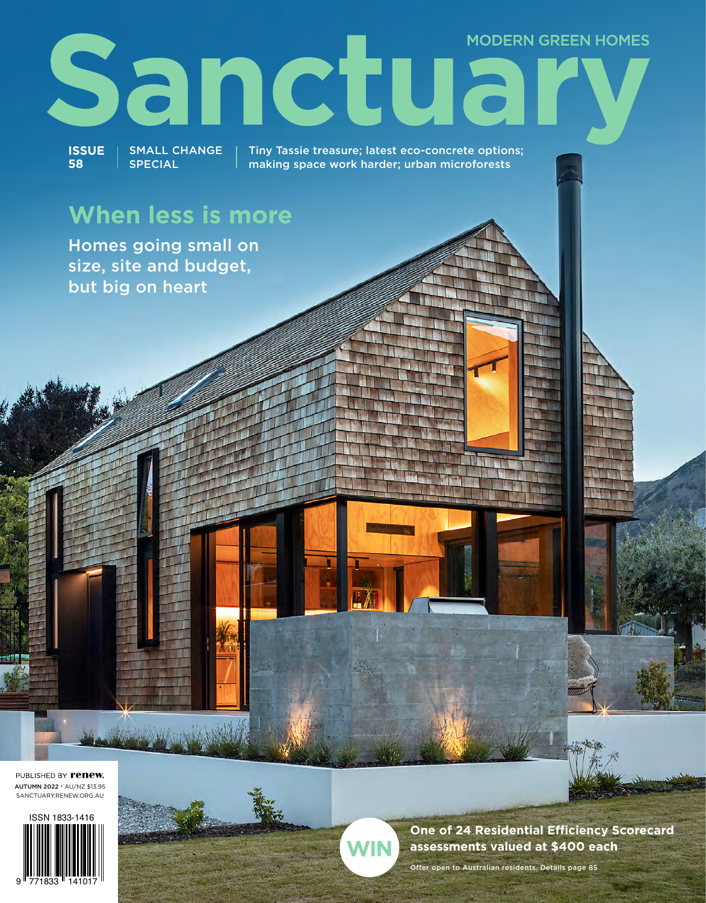## **MODERN GREEN HOMES** Sanctual

**ISSUE 58** SMALL CHANGE SPECIAL

Tiny Tassie treasure; latest eco-concrete options; making space work harder; urban microforests

### **When less is more**

Homes going small on size, site and budget, but big on heart

PUBLISHED BY **renew.** AUTUMN 2022 \* AU/NZ \$13.95 SANCTUARY.RENEW.ORG.AU





**One of 24 Residential Efficiency Scorecard assessments valued at \$400 each**

Offer open to Australian residents. Details page 85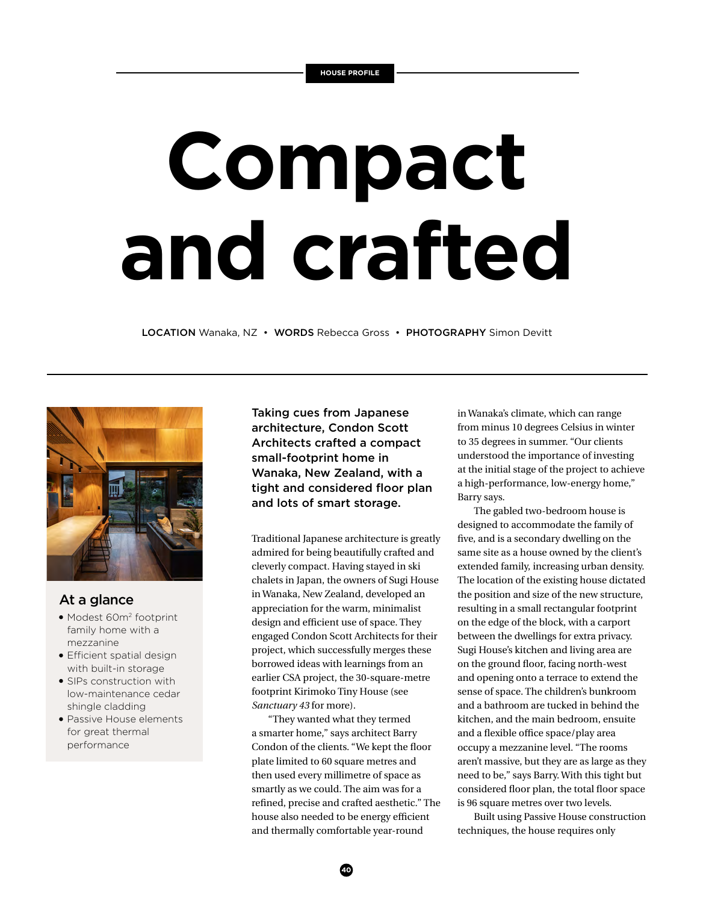# **Compact and crafted**

LOCATION Wanaka, NZ · WORDS Rebecca Gross · PHOTOGRAPHY Simon Devitt



#### At a glance

- Modest 60m<sup>2</sup> footprint family home with a mezzanine
- **•** Efficient spatial design with built-in storage
- SIPs construction with low-maintenance cedar shingle cladding
- Passive House elements for great thermal performance

Taking cues from Japanese architecture, Condon Scott Architects crafted a compact small-footprint home in Wanaka, New Zealand, with a tight and considered floor plan and lots of smart storage.

Traditional Japanese architecture is greatly admired for being beautifully crafted and cleverly compact. Having stayed in ski chalets in Japan, the owners of Sugi House in Wanaka, New Zealand, developed an appreciation for the warm, minimalist design and efficient use of space. They engaged Condon Scott Architects for their project, which successfully merges these borrowed ideas with learnings from an earlier CSA project, the 30-square-metre footprint Kirimoko Tiny House (see *Sanctuary 43* for more).

"They wanted what they termed a smarter home," says architect Barry Condon of the clients. "We kept the floor plate limited to 60 square metres and then used every millimetre of space as smartly as we could. The aim was for a refined, precise and crafted aesthetic." The house also needed to be energy efficient and thermally comfortable year-round

in Wanaka's climate, which can range from minus 10 degrees Celsius in winter to 35 degrees in summer. "Our clients understood the importance of investing at the initial stage of the project to achieve a high-performance, low-energy home," Barry says.

The gabled two-bedroom house is designed to accommodate the family of five, and is a secondary dwelling on the same site as a house owned by the client's extended family, increasing urban density. The location of the existing house dictated the position and size of the new structure, resulting in a small rectangular footprint on the edge of the block, with a carport between the dwellings for extra privacy. Sugi House's kitchen and living area are on the ground floor, facing north-west and opening onto a terrace to extend the sense of space. The children's bunkroom and a bathroom are tucked in behind the kitchen, and the main bedroom, ensuite and a flexible office space/play area occupy a mezzanine level. "The rooms aren't massive, but they are as large as they need to be," says Barry. With this tight but considered floor plan, the total floor space is 96 square metres over two levels.

Built using Passive House construction techniques, the house requires only

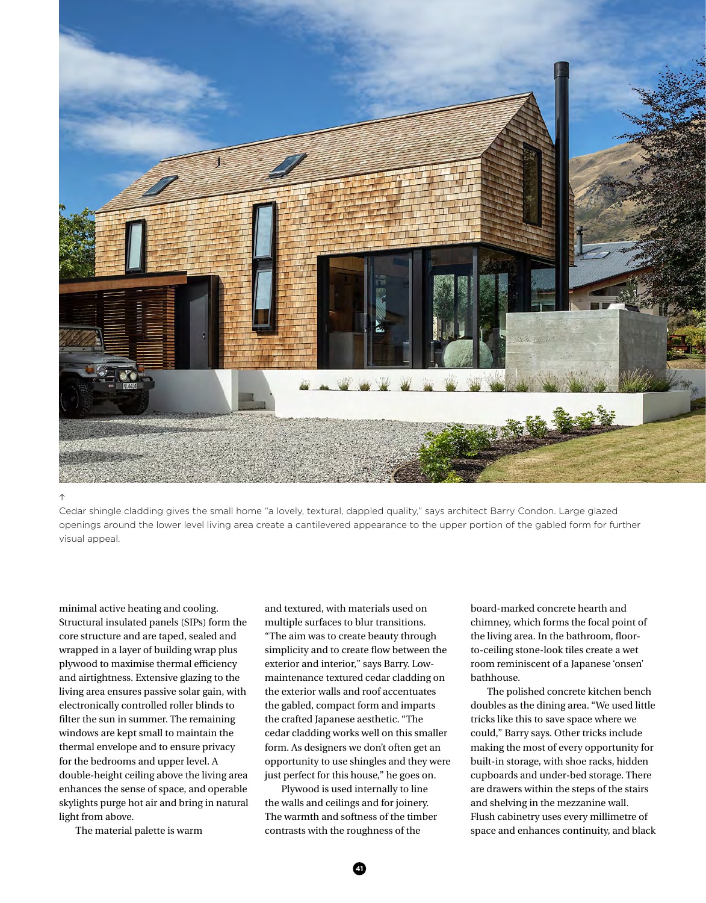

#### $\uparrow$

Cedar shingle cladding gives the small home "a lovely, textural, dappled quality," says architect Barry Condon. Large glazed openings around the lower level living area create a cantilevered appearance to the upper portion of the gabled form for further visual appeal.

minimal active heating and cooling. Structural insulated panels (SIPs) form the core structure and are taped, sealed and wrapped in a layer of building wrap plus plywood to maximise thermal efficiency and airtightness. Extensive glazing to the living area ensures passive solar gain, with electronically controlled roller blinds to filter the sun in summer. The remaining windows are kept small to maintain the thermal envelope and to ensure privacy for the bedrooms and upper level. A double-height ceiling above the living area enhances the sense of space, and operable skylights purge hot air and bring in natural light from above.

The material palette is warm

and textured, with materials used on multiple surfaces to blur transitions. "The aim was to create beauty through simplicity and to create flow between the exterior and interior," says Barry. Lowmaintenance textured cedar cladding on the exterior walls and roof accentuates the gabled, compact form and imparts the crafted Japanese aesthetic. "The cedar cladding works well on this smaller form. As designers we don't often get an opportunity to use shingles and they were just perfect for this house," he goes on.

Plywood is used internally to line the walls and ceilings and for joinery. The warmth and softness of the timber contrasts with the roughness of the

board-marked concrete hearth and chimney, which forms the focal point of the living area. In the bathroom, floorto-ceiling stone-look tiles create a wet room reminiscent of a Japanese 'onsen' bathhouse.

The polished concrete kitchen bench doubles as the dining area. "We used little tricks like this to save space where we could," Barry says. Other tricks include making the most of every opportunity for built-in storage, with shoe racks, hidden cupboards and under-bed storage. There are drawers within the steps of the stairs and shelving in the mezzanine wall. Flush cabinetry uses every millimetre of space and enhances continuity, and black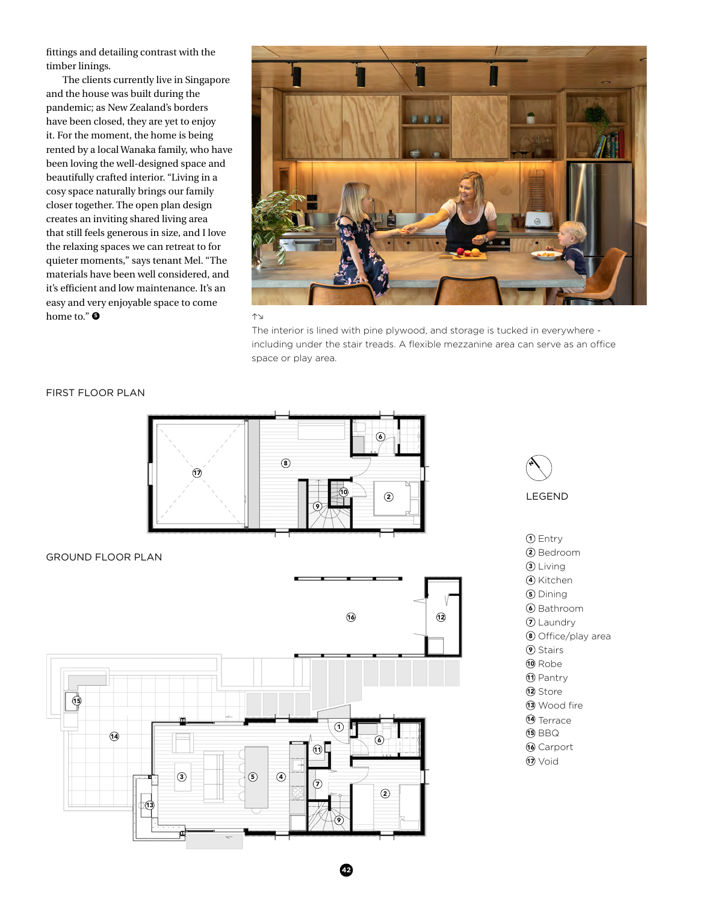fittings and detailing contrast with the timber linings.

The clients currently live in Singapore and the house was built during the pandemic; as New Zealand's borders have been closed, they are yet to enjoy it. For the moment, the home is being rented by a local Wanaka family, who have been loving the well-designed space and beautifully crafted interior. "Living in a cosy space naturally brings our family closer together. The open plan design creates an inviting shared living area that still feels generous in size, and I love the relaxing spaces we can retreat to for quieter moments," says tenant Mel. "The materials have been well considered, and it's efficient and low maintenance. It's an easy and very enjoyable space to come home to." **<sup>S</sup>**



 $\uparrow$ 

The interior is lined with pine plywood, and storage is tucked in everywhere including under the stair treads. A flexible mezzanine area can serve as an office space or play area.

#### FIRST FLOOR PLAN



#### GROUND FLOOR PLAN